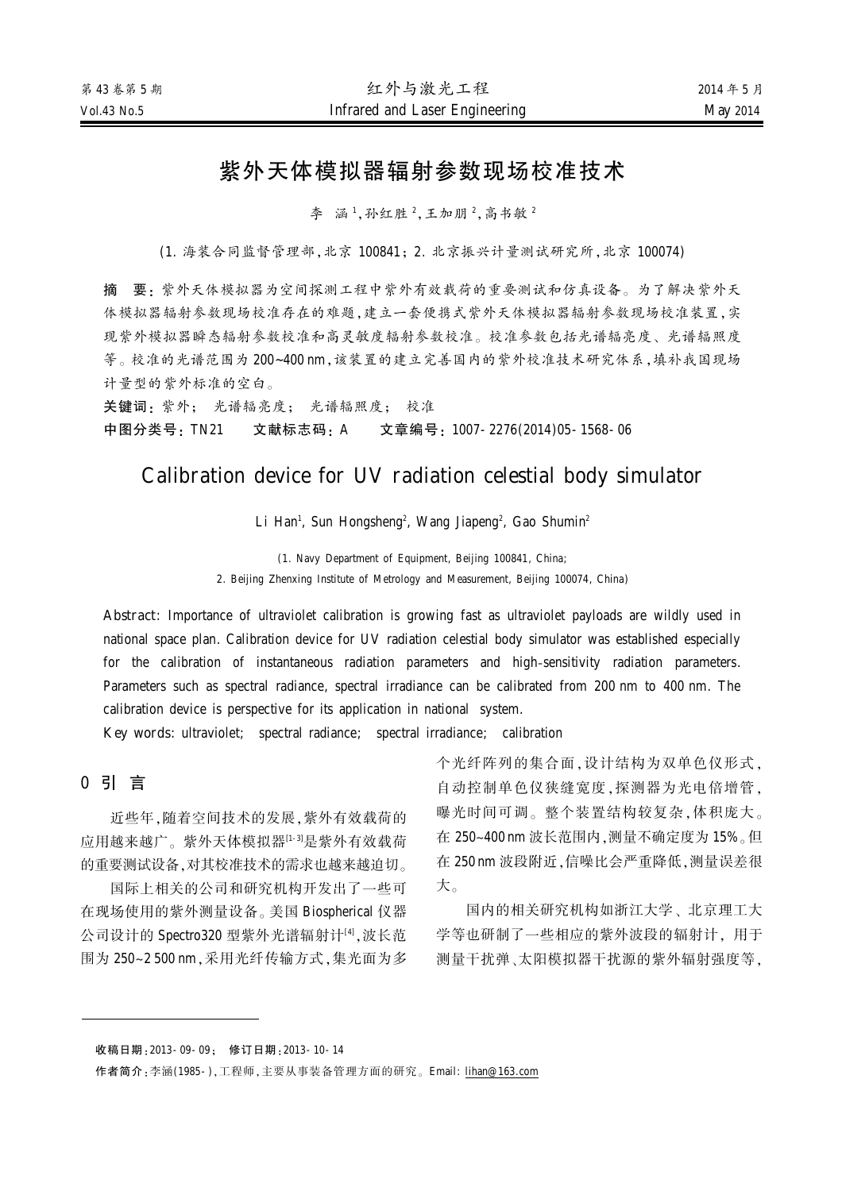# 紫外天体模拟器辐射参数现场校准技术

李 涵1,孙红胜2,王加朋2,高书敏2

(1. 海装合同监督管理部,北京 100841;2. 北京振兴计量测试研究所,北京 100074)

摘 要:紫外天体模拟器为空间探测工程中紫外有效载荷的重要测试和仿真设备。为了解决紫外天 体模拟器辐射参数现场校准存在的难题,建立一套便携式紫外天体模拟器辐射参数现场校准装置,实 现紫外模拟器瞬态辐射参数校准和高灵敏度辐射参数校准。校准参数包括光谱辐亮度、光谱辐照度 等。校准的光谱范围为 200~400 nm,该装置的建立完善国内的紫外校准技术研究体系,填补我国现场 计量型的紫外标准的空白。

关键词: 紫外; 光谱辐亮度; 光谱辐照度; 校准 中图分类号: TN21 文献标志码: A 文章编号: 1007-2276(2014)05-1568-06

# Calibration device for UV radiation celestial body simulator

Li Han<sup>1</sup>, Sun Hongsheng<sup>2</sup>, Wang Jiapeng<sup>2</sup>, Gao Shumin<sup>2</sup>

(1. Navy Department of Equipment, Beijing 100841, China; 2. Beijing Zhenxing Institute of Metrology and Measurement, Beijing 100074, China)

Abstract: Importance of ultraviolet calibration is growing fast as ultraviolet payloads are wildly used in national space plan. Calibration device for UV radiation celestial body simulator was established especially for the calibration of instantaneous radiation parameters and high-sensitivity radiation parameters. Parameters such as spectral radiance, spectral irradiance can be calibrated from 200 nm to 400 nm. The calibration device is perspective for its application in national system.

Key words: ultraviolet; spectral radiance; spectral irradiance; calibration

#### 0 引 言

近些年,随着空间技术的发展,紫外有效载荷的 应用越来越广。紫外天体模拟器<sup>[1-3]</sup>是紫外有效载荷 的重要测试设备,对其校准技术的需求也越来越迫切。

国际上相关的公司和研究机构开发出了一些可 在现场使用的紫外测量设备。美国 Biospherical 仪器 公司设计的 Spectro320 型紫外光谱辐射计[4],波长范 围为 250~2 500 nm, 采用光纤传输方式, 集光面为多

个光纤阵列的集合面, 设计结构为双单色仪形式, 自动控制单色仪狭缝宽度,探测器为光电倍增管, 曝光时间可调。整个装置结构较复杂,体积庞大。 在 250~400 nm 波长范围内, 测量不确定度为 15%。但 在 250 nm 波段附近, 信噪比会严重降低, 测量误差很 大。

国内的相关研究机构如浙江大学、北京理工大 学等也研制了一些相应的紫外波段的辐射计、用于 测量干扰弹、太阳模拟器干扰源的紫外辐射强度等。

收稿日期: 2013-09-09; 修订日期: 2013-10-14

作者简介:李涵(1985-),工程师,主要从事装备管理方面的研究。Email: [lihan@163.com](mailto:lihan@163.com)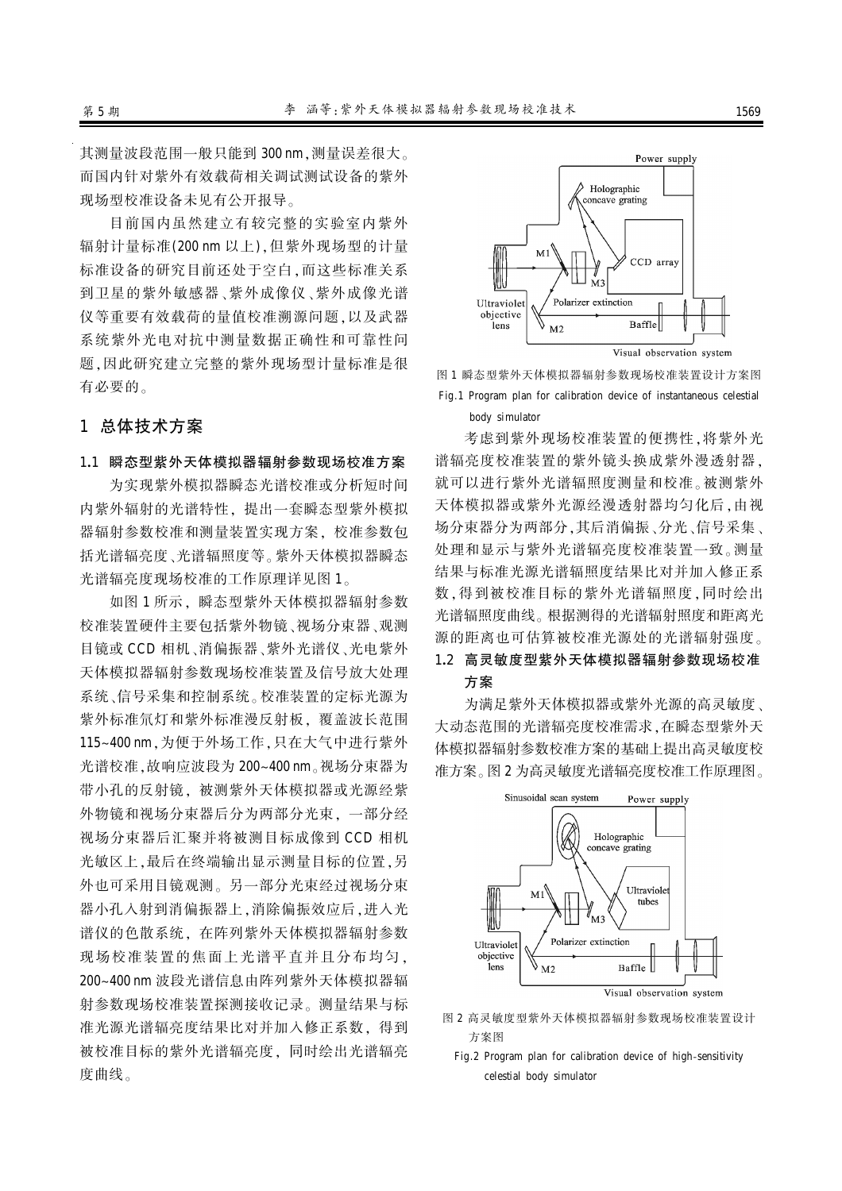其测量波段范围一般只能到 300 nm, 测量误差很大。 而国内针对紫外有效载荷相关调试测试设备的紫外 现场型校准设备未见有公开报导。

目前国内虽然建立有较完整的实验室内紫外 辐射计量标准(200 nm 以上). 但紫外现场型的计量 标准设备的研究目前还处于空白,而这些标准关系 到卫星的紫外敏感器、紫外成像化光谱 仪等重要有效载荷的量值校准溯源问题,以及武器 系统紫外光电对抗中测量数据正确性和可靠性问 题,因此研究建立完整的紫外现场型计量标准是很 有必要的。

### 1 总体技术方案

#### 1.1 瞬态型紫外天体模拟器辐射参数现场校准方案

为实现紫外模拟器瞬态光谱校准或分析短时间 内紫外辐射的光谱特性,提出一套瞬态型紫外模拟 器辐射参数校准和测量装置实现方案, 校准参数包 括光谱辐亮度、光谱辐照度等。紫外天体模拟器瞬态 光谱辐亮度现场校准的工作原理详见图 1。

如图 1 所示, 瞬态型紫外天体模拟器辐射参数 校准装置硬件主要包括紫外物镜、视场分束器、观测 目镜或 CCD 相机、消偏振器、紫外光谱仪、光电紫外 天体模拟器辐射参数现场校准装置及信号放大处理 系统、信号采集和控制系统。校准装置的定标光源为 紫外标准氘灯和紫外标准漫反射板, 覆盖波长范围 115~400 nm, 为便于外场工作, 只在大气中进行紫外 光谱校准,故响应波段为 200~400 nm。视场分束器为 带小孔的反射镜, 被测紫外天体模拟器或光源经紫 外物镜和视场分束器后分为两部分光束。一部分经 视场分束器后汇聚并将被测目标成像到 CCD 相机 光敏区上, 最后在终端输出显示测量目标的位置, 另 外也可采用目镜观测。另一部分光束经过视场分束 器小孔入射到消偏振器上,消除偏振效应后,进入光 谱仪的色散系统, 在阵列紫外天体模拟器辐射参数 现场校准装置的焦面上光谱平直并且分布均匀, 200~400 nm 波段光谱信息由阵列紫外天体模拟器辐 射参数现场校准装置探测接收记录。测量结果与标 准光源光谱辐亮度结果比对并加入修正系数,得到 被校准目标的紫外光谱辐亮度,同时绘出光谱辐亮 度曲线。



图 1 瞬态型紫外天体模拟器辐射参数现场校准装置设计方案图 Fig.1 Program plan for calibration device of instantaneous celestial body simulator

考虑到紫外现场校准装置的便携性、将紫外光 谱辐亮度校准装置的紫外镜头体成紫外器。 就可以进行紫外光谱辐照度测量和校准。被测紫外 天体模拟器或紫外光源经漫透射器均匀化后,由视 场分束器分为两部分,其后消偏振、分光、信号采集、 处理和显示与紫外光谱辐亮度校准装置一致。测量 结果与标准光源光谱辐照度结果比对并加入修正系 数,得到被校准目标的紫外光谱辐照度,同时绘出 光谱辐照度曲线。根据测得的光谱辐射照度和距离光 源的距离也可估算被校准光源处的光谱辐射强度。

# 1.2 高灵敏度型紫外天体模拟器辐射参数现场校准 方案

为满足紫外天体模拟器或紫外光源的高灵敏度、 大动态范围的光谱辐亮度校准需求, 在瞬态型紫外天 体模拟器辐射参数校准方案的基础上提出高灵敏度校 准方案。图 2 为高灵敏度光谱辐亮度校准工作原理图。



- 图 2 高灵敏度型紫外天体模拟器辐射参数现场校准装置设计 方案图
	- Fig.2 Program plan for calibration device of high-sensitivity celestial body simulator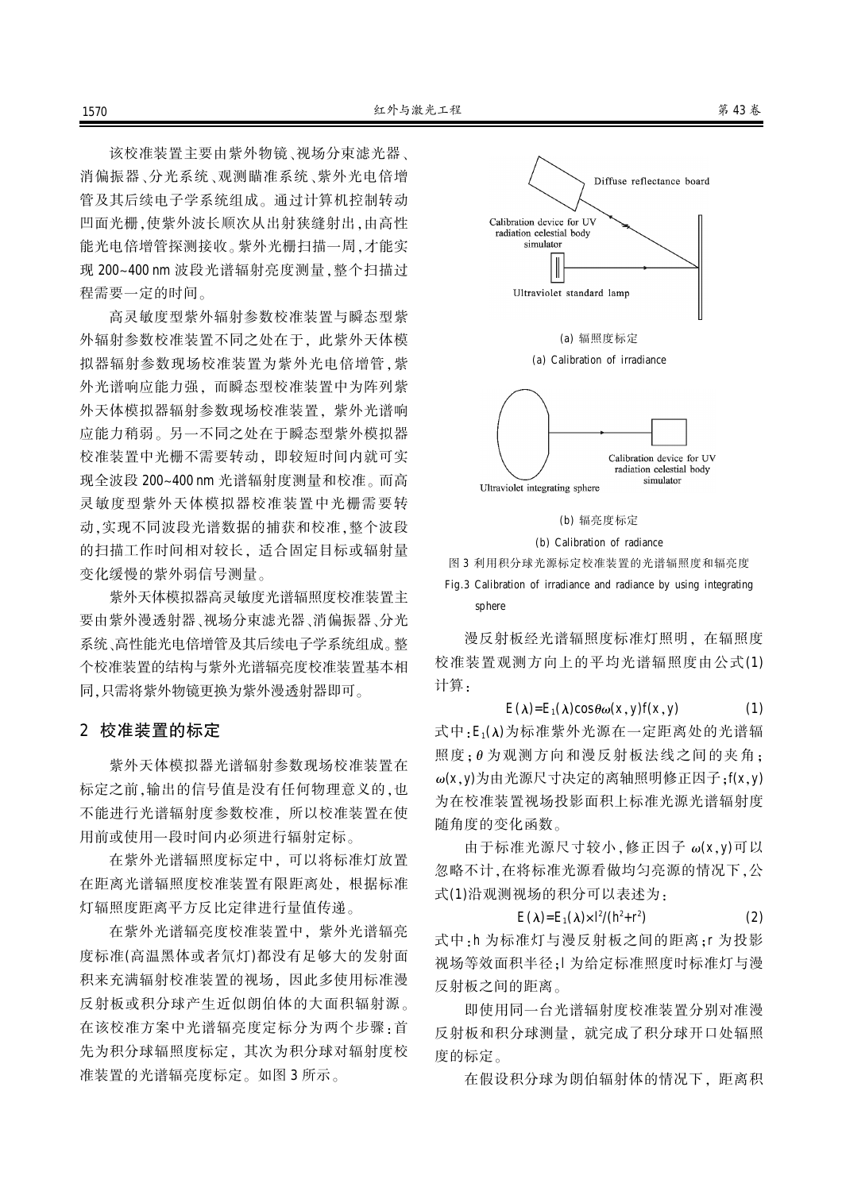该校准装置主要由紫外物镜、视场分束滤光器、 消偏振器、分光系统、观测瞄准系统、紫外光电倍增 管及其后续电子学系统组成。通过计算机控制转动 凹面光栅,使紫外波长顺次从出射狭缝射出,由高性 能光电倍增管探测接收。紫外光栅扫描一周,才能实 现 200~400 nm 波段光谱辐射亮度测量, 整个扫描过 程需要一定的时间。

高灵敏度型紫外辐射参数校准装置与瞬态型紫 外辐射参数校准装置不同之处在于。此紫外天体模 拟器辐射参数现场校准装置为紫外光电倍增管,紫 外光谱响应能力强,而瞬态型校准装置中为阵列紫 外天体模拟器辐射参数现场校准装置, 紫外光谱响 应能力稍弱。另一不同之处在于瞬态型紫外模拟器 校准装置中光栅不需要转动, 即较短时间内就可实 现全波段 200~400 nm 光谱辐射度测量和校准。而高 灵敏度型紫外天体模拟器校准装置中光栅需要转 动,实现不同波段光谱数据的捕获和校准,整个波段 的扫描工作时间相对较长,适合固定目标或辐射量 变化缓慢的紫外弱信号测量。

紫外天体模拟器高灵敏度光谱辐照度校准装置主 要由紫外漫透射器、视场分束滤光器、消偏振器、分光 系统、高性能光电倍增管及其后续电子学系统组成。整 个校准装置的结构与紫外光谱辐亮度校准装置基本相 同、只需将紫外物镜更换为紫外漫透射器即可。

#### 2 校准装置的标定

紫外天体模拟器光谱辐射参数现场校准装置在 标定之前, 输出的信号值是没有任何物理意义的, 也 不能进行光谱辐射度参数校准。所以校准装置在使 用前或使用一段时间内必须进行辐射定标。

在紫外光谱辐照度标定中, 可以将标准灯放置 在距离光谱辐照度校准装置有限距离处, 根据标准 灯辐照度距离平方反比定律进行量值传递。

在紫外光谱辐亮度校准装置中, 紫外光谱辐亮 度标准(高温黑体或者氘灯)都没有足够大的发射面 积来充满辐射校准装置的视场,因此多使用标准漫 反射板或积分球产生近似朗伯体的大面积辐射源。 在该校准方案中光谱辐亮度定标分为两个步骤:首 先为积分球和辐照度标定、其次为积分球对辐射度校 准装置的光谱辐亮度标定。如图 3 所示。





(b) Calibration of radiance

图 3 利用积分球光源标定校准装置的光谱辐照度和辐亮度 Fig.3 Calibration of irradiance and radiance by using integrating sphere

漫反射板经光谱辐照度标准灯照明, 在辐照度 校准装置观测方向上的平均光谱辐照度由公式(1) 计算:

 $E(\lambda) = E_1(\lambda) \cos \theta \omega(x, y) f(x, y)$  (1) 式中: E<sub>1</sub>(λ)为标准紫外光源在一定距离处的光谱辐 照度:0为观测方向和漫反射板法线之间的夹角:  $\omega(x, y)$ 为由光源尺寸决定的离轴照明修正因子: $f(x, y)$ 为在校准装置视场投影面积上标准光源光谱辐射度 随角度的变化函数。

由于标准光源尺寸较小, 修正因子 ω(x, y)可以 忽略不计,在将标准光源看做均匀亮源的情况下,公 式(1)沿观测视场的积分可以表述为:

> $E(\lambda)$ = $E_1(\lambda) \times 1^2/(h^2+r^2)$  $(2)$

式中·h 为标准灯与漫反射板之间的距离:r 为投影 视场等效面积半径;1 为给定标准照度时标准灯与漫 反射板之间的距离。

即使用同一台光谱辐射度校准装置分别对准漫 反射板和积分球测量, 就完成了积分球开口处辐照 度的标定。

在假设积分球为朗伯辐射体的情况下, 距离积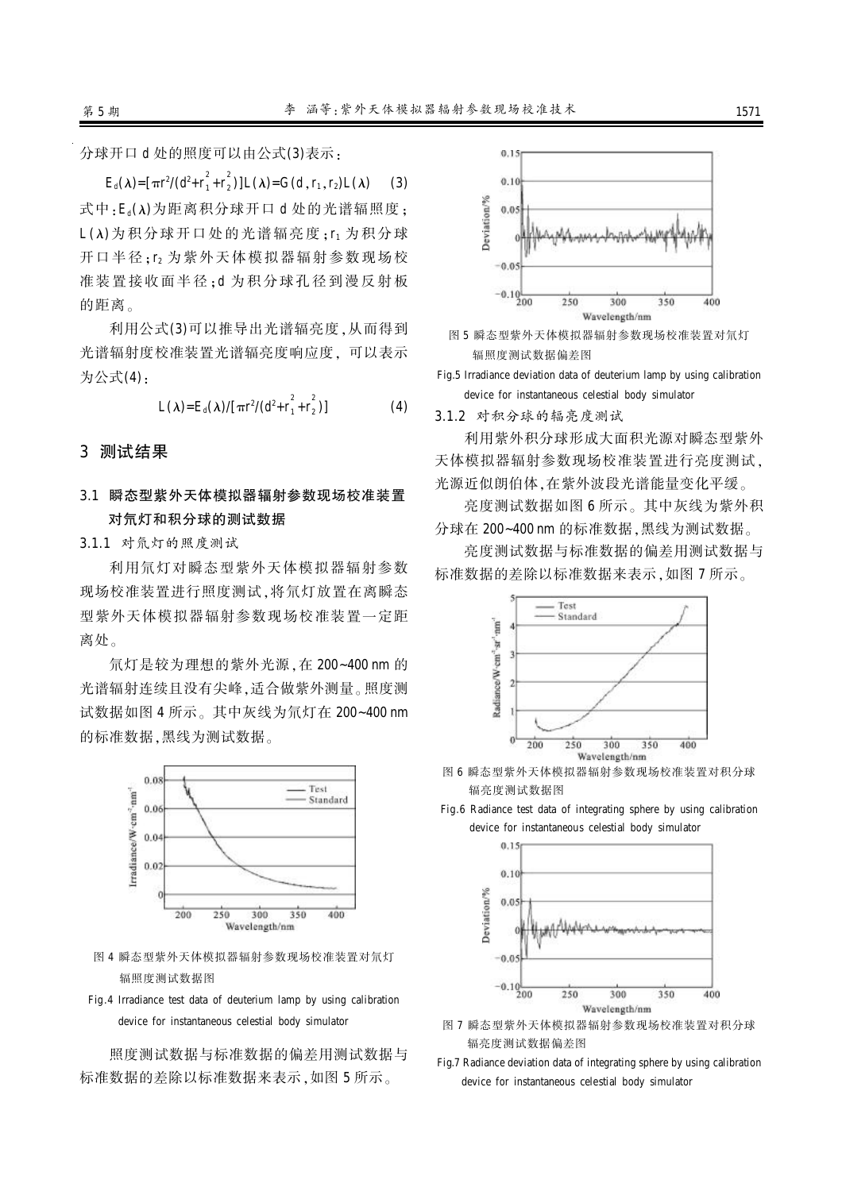分球开口 d 处的照度可以由公式(3)表示:

 $E_d(\lambda) = [\pi r^2/(d^2 + r_1^2 + r_2^2)]$  $_{2}^{2})$ ]L( $\lambda$ )=G(d, r<sub>1</sub>, r<sub>2</sub>)L( $\lambda$ ) (3) 式中: E.( λ)为距离积分球开口 d 处的光谱辐照度:  $L(\lambda)$ 为积分球开口处的光谱辐亮度: r1 为积分球 开口半径:r2 为紫外天体模拟器辐射参数现场校 准装置接收面半径:d 为积分球孔径到漫反射板 的距离。

利用公式(3)可以推导出光谱辐亮度,从而得到 光谱辐射度校准装置光谱辐亮度响应度,可以表示 为公式(4):

$$
L(\lambda) = E_d(\lambda) / [\pi r^2 / (d^2 + r_1^2 + r_2^2)]
$$
 (4)

#### 3 测试结果

## 3.1 瞬态型紫外天体模拟器辐射参数现场校准装置 对氘灯和积分球的测试数据

3.1.1 对氘灯的照度测试

利用氘灯对瞬态型紫外天体模拟器辐射参数 现场校准装置进行照度测试,将氘灯放置在离瞬态 型紫外天体模拟器辐射参数现场校准装置一定距 离处。

氘灯是较为理想的紫外光源, 在 200~400 nm 的 光谱辐射连续且没有尖峰,适合做紫外测量。照度测 试数据如图 4 所示。其中灰线为氘灯在 200~400 nm 的标准数据,黑线为测试数据。



图 4 瞬态型紫外天体模拟器辐射参数现场校准装置对氘灯 辐照度测试数据图

Fig.4 Irradiance test data of deuterium lamp by using calibration device for instantaneous celestial body simulator

照度测试数据与标准数据的偏差用测试数据与 标准数据的差除以标准数据来表示,如图 5 所示。





Fig.5 Irradiance deviation data of deuterium lamp by using calibration device for instantaneous celestial body simulator

3.1.2 对积分球的辐亮度测试

利用紫外积分球形成大面积光源对瞬态型紫外 天体模拟器辐射参数现场校准装置进行亮度测试。 光源近似朗伯体,在紫外波段光谱能量变化平缓。

亮度测试数据如图 6 所示。其中灰线为紫外积 分球在 200~400 nm 的标准数据, 黑线为测试数据。

亮度测试数据与标准数据的偏差用测试数据与 标准数据的差除以标准数据来表示,如图 7 所示。



图 6 瞬态型紫外天体模拟器辐射参数现场校准装置对积分球 辐亮度测试数据图

Fig.6 Radiance test data of integrating sphere by using calibration device for instantaneous celestial body simulator



- 图 7 瞬态型紫外天体模拟器辐射参数现场校准装置对积分球 辐亮度测试数据偏差图
- Fig.7 Radiance deviation data of integrating sphere by using calibration device for instantaneous celestial body simulator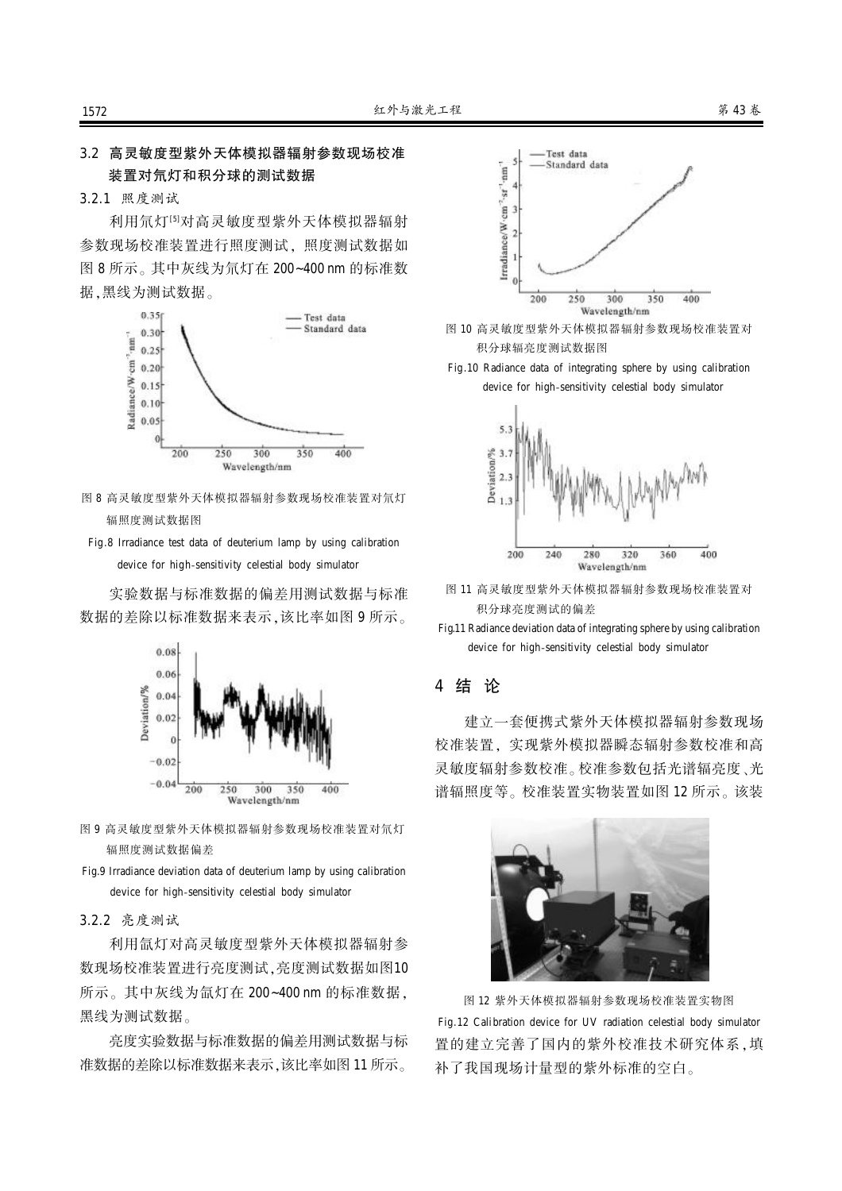## 3.2 高灵敏度型紫外天体模拟器辐射参数现场校准 装置对氘灯和积分球的测试数据

3.2.1 照度测试

利用氘灯<sup>[5]</sup>对高灵敏度型紫外天体模拟器辐射 参数现场校准装置进行照度测试、照度测试数据如 图 8 所示。其中灰线为氘灯在 200~400 nm 的标准数 据,黑线为测试数据。



- 图 8 高灵敏度型紫外天体模拟器辐射参数现场校准装置对氘灯 辐照度测试数据图
- Fig.8 Irradiance test data of deuterium lamp by using calibration device for high-sensitivity celestial body simulator

实验数据与标准数据的偏差用测试数据与标准 数据的差除以标准数据来表示,该比率如图 9 所示。



- 图 9 高灵敏度型紫外天体模拟器辐射参数现场校准装置对氘灯 辐照度测试数据偏差
- Fig.9 Irradiance deviation data of deuterium lamp by using calibration device for high-sensitivity celestial body simulator

#### 3.2.2 亮度测试

利用氙灯对高灵敏度型紫外天体模拟器辐射参 数现场校准装置进行亮度测试,亮度测试数据如图10 所示。其中灰线为氙灯在 200~400 nm 的标准数据, 黑线为测试数据。

亮度实验数据与标准数据的偏差用测试数据与标 准数据的差除以标准数据来表示, 该比率如图 11 所示。



- 图 10 高灵敏度型紫外天体模拟器辐射参数现场校准装置对 积分球辐亮度测试数据图
- Fig.10 Radiance data of integrating sphere by using calibration device for high-sensitivity celestial body simulator



- 图 11 高灵敏度型紫外天体模拟器辐射参数现场校准装置对 积分球亮度测试的偏差
- Fig.11 Radiance deviation data of integrating sphere by using calibration device for high-sensitivity celestial body simulator

#### 4 结 论

建立一套便携式紫外天体模拟器辐射参数现场 校准装置、实现紫外模拟器瞬态辐射参数校准和高 灵敏度辐射参数校准。校准参数包括光谱辐亮度、光 谱辐照度等。校准装置实物装置如图 12 所示。该装



图 12 紫外天体模拟器辐射参数现场校准装置实物图 Fig.12 Calibration device for UV radiation celestial body simulator 置的建立完善了国内的紫外校准技术研究体系,填 补了我国现场计量型的紫外标准的空白。